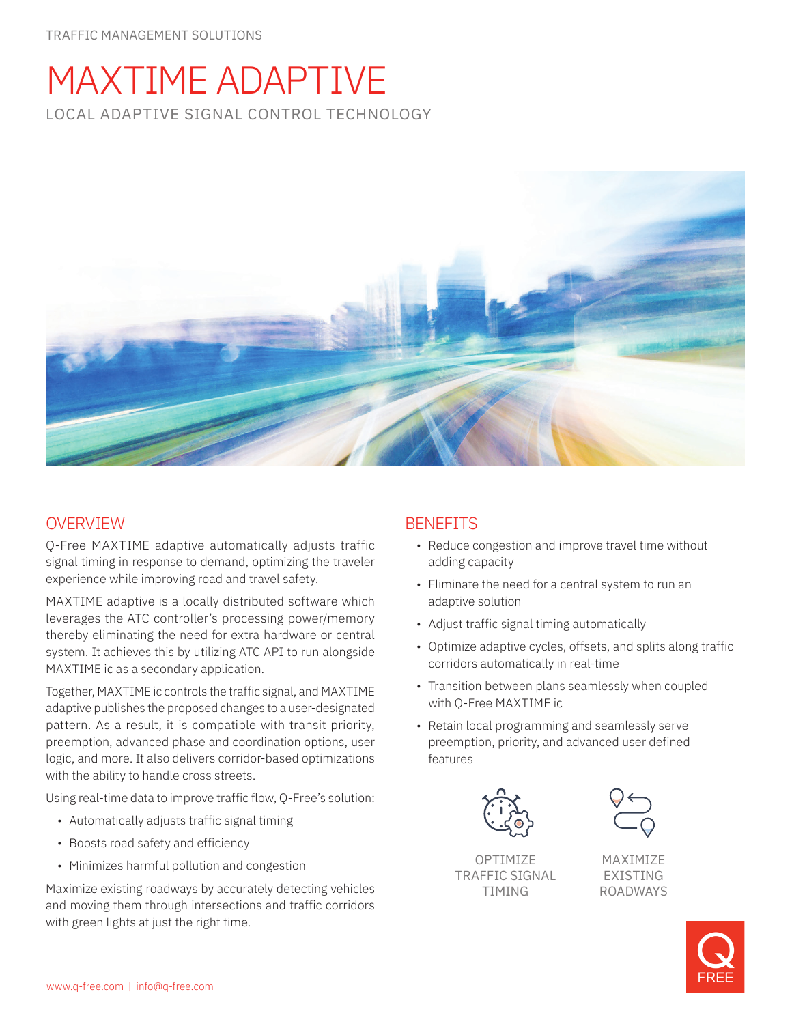# MAXTIME ADAPTIVE LOCAL ADAPTIVE SIGNAL CONTROL TECHNOLOGY



## OVERVIEW

Q-Free MAXTIME adaptive automatically adjusts traffic signal timing in response to demand, optimizing the traveler experience while improving road and travel safety.

MAXTIME adaptive is a locally distributed software which leverages the ATC controller's processing power/memory thereby eliminating the need for extra hardware or central system. It achieves this by utilizing ATC API to run alongside MAXTIME ic as a secondary application.

Together, MAXTIME ic controls the traffic signal, and MAXTIME adaptive publishes the proposed changes to a user-designated pattern. As a result, it is compatible with transit priority, preemption, advanced phase and coordination options, user logic, and more. It also delivers corridor-based optimizations with the ability to handle cross streets.

Using real-time data to improve traffic flow, Q-Free's solution:

- Automatically adjusts traffic signal timing
- Boosts road safety and efficiency
- Minimizes harmful pollution and congestion

Maximize existing roadways by accurately detecting vehicles and moving them through intersections and traffic corridors with green lights at just the right time.

## **BENEFITS**

- Reduce congestion and improve travel time without adding capacity
- Eliminate the need for a central system to run an adaptive solution
- Adjust traffic signal timing automatically
- Optimize adaptive cycles, offsets, and splits along traffic corridors automatically in real-time
- Transition between plans seamlessly when coupled with Q-Free MAXTIME ic
- Retain local programming and seamlessly serve preemption, priority, and advanced user defined features



**OPTIMIZE** TRAFFIC SIGNAL TIMING



MAXIMIZE EXISTING ROADWAYS